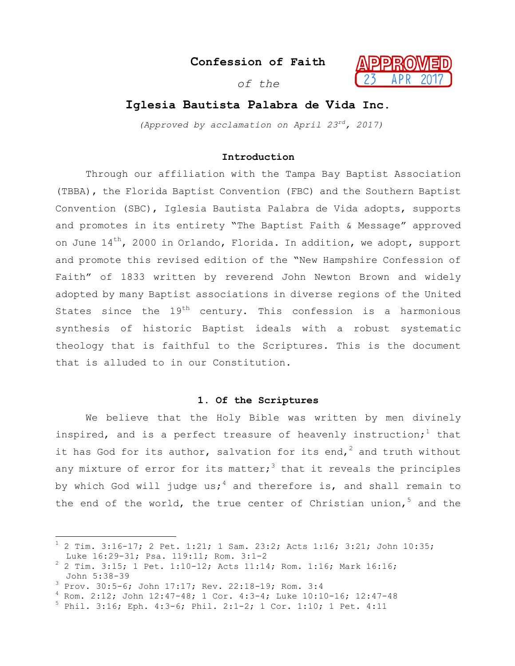**Confession of Faith**

*of the*



# **Iglesia Bautista Palabra de Vida Inc.**

*(Approved by acclamation on April 23rd, 2017)*

# **Introduction**

Through our affiliation with the Tampa Bay Baptist Association (TBBA), the Florida Baptist Convention (FBC) and the Southern Baptist Convention (SBC), Iglesia Bautista Palabra de Vida adopts, supports and promotes in its entirety "The Baptist Faith & Message" approved on June  $14^{th}$ , 2000 in Orlando, Florida. In addition, we adopt, support and promote this revised edition of the "New Hampshire Confession of Faith" of 1833 written by reverend John Newton Brown and widely adopted by many Baptist associations in diverse regions of the United States since the  $19<sup>th</sup>$  century. This confession is a harmonious synthesis of historic Baptist ideals with a robust systematic theology that is faithful to the Scriptures. This is the document that is alluded to in our Constitution.

## **1. Of the Scriptures**

We believe that the Holy Bible was written by men divinely inspired, and is a perfect treasure of heavenly instruction;<sup>1</sup> that it has God for its author, salvation for its end,<sup>2</sup> and truth without any mixture of error for its matter;<sup>3</sup> that it reveals the principles by which God will judge us;<sup>4</sup> and therefore is, and shall remain to the end of the world, the true center of Christian union,  $5$  and the

 $1$  2 Tim. 3:16-17; 2 Pet. 1:21; 1 Sam. 23:2; Acts 1:16; 3:21; John 10:35; Luke 16:29-31; Psa. 119:11; Rom. 3:1-2<br><sup>2</sup> 2 Tim. 3:15; 1 Pet. 1:10-12; Acts 11:14; Rom. 1:16; Mark 16:16;

John 5:38-39 <sup>3</sup> Prov. 30:5-6; John 17:17; Rev. 22:18-19; Rom. 3:4 <sup>4</sup> Rom. 2:12; John 12:47-48; 1 Cor. 4:3-4; Luke 10:10-16; 12:47-48 <sup>5</sup> Phil. 3:16; Eph. 4:3-6; Phil. 2:1-2; 1 Cor. 1:10; 1 Pet. 4:11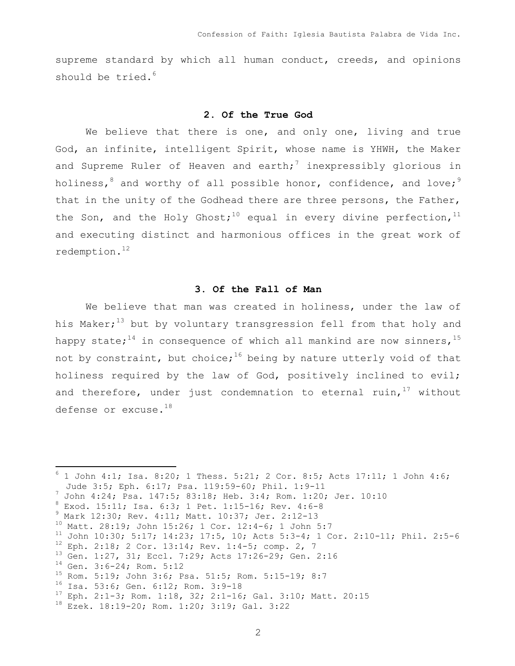supreme standard by which all human conduct, creeds, and opinions should be tried. $6$ 

### **2. Of the True God**

We believe that there is one, and only one, living and true God, an infinite, intelligent Spirit, whose name is YHWH, the Maker and Supreme Ruler of Heaven and earth;<sup>7</sup> inexpressibly glorious in holiness,  $8$  and worthy of all possible honor, confidence, and love;  $9$ that in the unity of the Godhead there are three persons, the Father, the Son, and the Holy Ghost;<sup>10</sup> equal in every divine perfection,<sup>11</sup> and executing distinct and harmonious offices in the great work of redemption.12

### **3. Of the Fall of Man**

We believe that man was created in holiness, under the law of his Maker;<sup>13</sup> but by voluntary transgression fell from that holy and happy state;<sup>14</sup> in consequence of which all mankind are now sinners,<sup>15</sup> not by constraint, but choice;<sup>16</sup> being by nature utterly void of that holiness required by the law of God, positively inclined to evil; and therefore, under just condemnation to eternal ruin, $17$  without defense or excuse. $^{18}$ 

 $6$  1 John 4:1; Isa. 8:20; 1 Thess. 5:21; 2 Cor. 8:5; Acts 17:11; 1 John 4:6; Jude 3:5; Eph. 6:17; Psa. 119:59-60; Phil. 1:9-11<br>
7 John 4:24; Psa. 147:5; 83:18; Heb. 3:4; Rom. 1:20; Jer. 10:10<br>
<sup>8</sup> Exod. 15:11; Isa. 6:3; 1 Pet. 1:15-16; Rev. 4:6-8<br>
<sup>9</sup> Mark 12:30; Rev. 4:11; Matt. 10:37; Jer. 2:12-1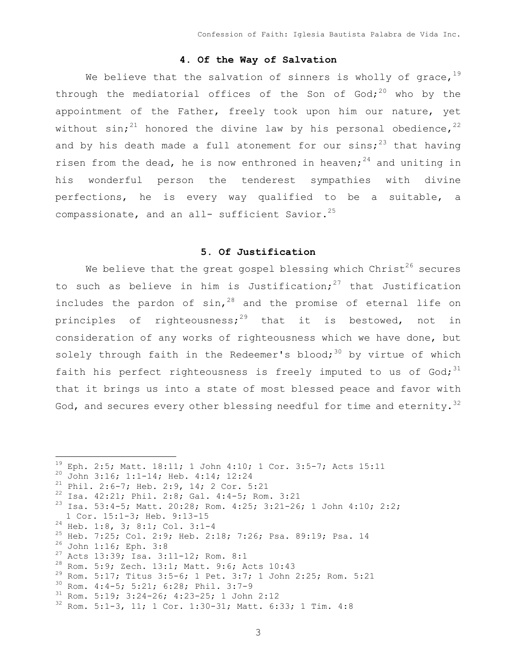# **4. Of the Way of Salvation**

We believe that the salvation of sinners is wholly of grace,  $19$ through the mediatorial offices of the Son of God;<sup>20</sup> who by the appointment of the Father, freely took upon him our nature, yet without sin;<sup>21</sup> honored the divine law by his personal obedience,<sup>22</sup> and by his death made a full atonement for our sins;<sup>23</sup> that having risen from the dead, he is now enthroned in heaven;<sup>24</sup> and uniting in his wonderful person the tenderest sympathies with divine perfections, he is every way qualified to be a suitable, a compassionate, and an all- sufficient Savior.<sup>25</sup>

# **5. Of Justification**

We believe that the great gospel blessing which  $Christ<sup>26</sup>$  secures to such as believe in him is Justification;<sup>27</sup> that Justification includes the pardon of  $sin^{-28}$  and the promise of eternal life on principles of righteousness;<sup>29</sup> that it is bestowed, not in consideration of any works of righteousness which we have done, but solely through faith in the Redeemer's blood;  $30$  by virtue of which faith his perfect righteousness is freely imputed to us of  $God; <sup>31</sup>$ that it brings us into a state of most blessed peace and favor with God, and secures every other blessing needful for time and eternity.  $32$ 

```
<sup>19</sup> Eph. 2:5; Matt. 18:11; 1 John 4:10; 1 Cor. 3:5-7; Acts 15:11<br>
<sup>20</sup> John 3:16; 1:1-14; Heb. 4:14; 12:24<br>
<sup>21</sup> Phil. 2:6-7; Heb. 2:9, 14; 2 Cor. 5:21<br>
<sup>22</sup> Isa. 42:21; Phil. 2:8; Gal. 4:4-5; Rom. 3:21<br>
<sup>23</sup> Isa. 53:4-5
1 Cor. 15:1-3; Heb. 9:13-15<br>
<sup>24</sup> Heb. 1:8, 3; 8:1; Col. 3:1-4<br>
<sup>25</sup> Heb. 7:25; Col. 2:9; Heb. 2:18; 7:26; Psa. 89:19; Psa. 14<br>
<sup>26</sup> John 1:16; Eph. 3:8<br>
<sup>27</sup> Acts 13:39; Isa. 3:11-12; Rom. 8:1<br>
<sup>28</sup> Rom. 5:9; Zech. 13:1;
```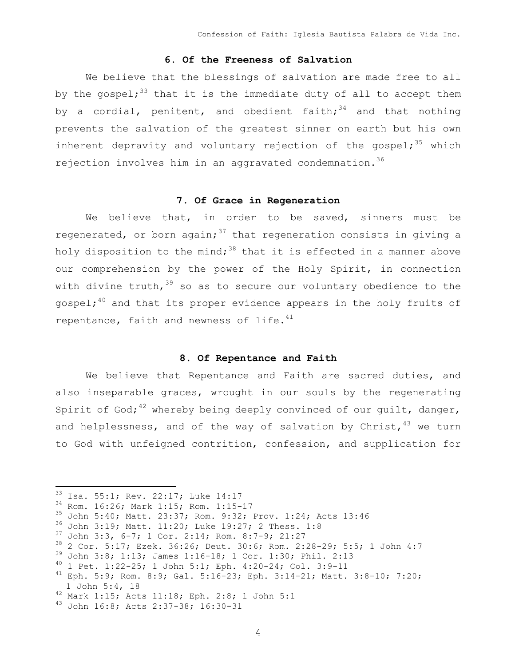## **6. Of the Freeness of Salvation**

We believe that the blessings of salvation are made free to all by the gospel;<sup>33</sup> that it is the immediate duty of all to accept them by a cordial, penitent, and obedient faith;  $34$  and that nothing prevents the salvation of the greatest sinner on earth but his own inherent depravity and voluntary rejection of the gospel;  $35$  which rejection involves him in an aggravated condemnation.<sup>36</sup>

# **7. Of Grace in Regeneration**

We believe that, in order to be saved, sinners must be regenerated, or born again;<sup>37</sup> that regeneration consists in giving a holy disposition to the mind;<sup>38</sup> that it is effected in a manner above our comprehension by the power of the Holy Spirit, in connection with divine truth,  $39$  so as to secure our voluntary obedience to the gospel; $^{40}$  and that its proper evidence appears in the holy fruits of repentance, faith and newness of life. $41$ 

### **8. Of Repentance and Faith**

We believe that Repentance and Faith are sacred duties, and also inseparable graces, wrought in our souls by the regenerating Spirit of God;<sup>42</sup> whereby being deeply convinced of our quilt, danger, and helplessness, and of the way of salvation by Christ,  $43$  we turn to God with unfeigned contrition, confession, and supplication for

<sup>&</sup>lt;sup>33</sup> Isa. 55:1; Rev. 22:17; Luke 14:17<br>
<sup>34</sup> Rom. 16:26; Mark 1:15; Rom. 1:15-17<br>
<sup>35</sup> John 5:40; Matt. 23:37; Rom. 9:32; Prov. 1:24; Acts 13:46<br>
<sup>36</sup> John 3:19; Matt. 11:20; Luke 19:27; 2 Thess. 1:8<br>
<sup>37</sup> John 3:3, 6-7; 1

<sup>1</sup> John 5:4, 18<br><sup>42</sup> Mark 1:15; Acts 11:18; Eph. 2:8; 1 John 5:1<br><sup>43</sup> John 16:8; Acts 2:37-38; 16:30-31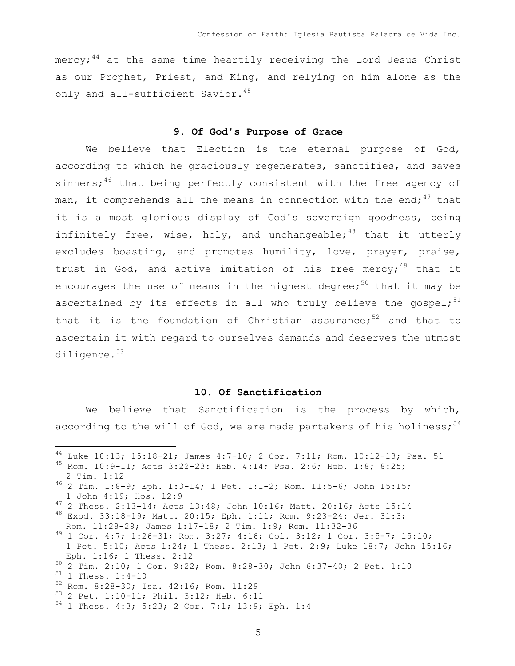mercy;<sup>44</sup> at the same time heartily receiving the Lord Jesus Christ as our Prophet, Priest, and King, and relying on him alone as the only and all-sufficient Savior.<sup>45</sup>

### **9. Of God's Purpose of Grace**

We believe that Election is the eternal purpose of God, according to which he graciously regenerates, sanctifies, and saves sinners; $46$  that being perfectly consistent with the free agency of man, it comprehends all the means in connection with the end;  $47$  that it is a most glorious display of God's sovereign goodness, being infinitely free, wise, holy, and unchangeable;<sup>48</sup> that it utterly excludes boasting, and promotes humility, love, prayer, praise, trust in God, and active imitation of his free mercy;<sup>49</sup> that it encourages the use of means in the highest degree;<sup>50</sup> that it may be ascertained by its effects in all who truly believe the gospel;<sup>51</sup> that it is the foundation of Christian assurance; $52$  and that to ascertain it with regard to ourselves demands and deserves the utmost diligence.<sup>53</sup>

#### **10. Of Sanctification**

We believe that Sanctification is the process by which, according to the will of God, we are made partakers of his holiness;  $5^4$ 

 <sup>44</sup> Luke 18:13; 15:18-21; James 4:7-10; 2 Cor. 7:11; Rom. 10:12-13; Psa. 51 <sup>45</sup> Rom. 10:9-11; Acts 3:22-23: Heb. 4:14; Psa. 2:6; Heb. 1:8; 8:25;

<sup>2</sup> Tim. 1:12<br><sup>46</sup> 2 Tim. 1:8-9; Eph. 1:3-14; 1 Pet. 1:1-2; Rom. 11:5-6; John 15:15;

 <sup>1</sup> John 4:19; Hos. 12:9 <sup>47</sup> 2 Thess. 2:13-14; Acts 13:48; John 10:16; Matt. 20:16; Acts 15:14 <sup>48</sup> Exod. 33:18-19; Matt. 20:15; Eph. 1:11; Rom. 9:23-24: Jer. 31:3;

Rom. 11:28-29; James 1:17-18; 2 Tim. 1:9; Rom. 11:32-36<br><sup>49</sup> 1 Cor. 4:7; 1:26-31; Rom. 3:27; 4:16; Col. 3:12; 1 Cor. 3:5-7; 15:10; 1 Pet. 5:10; Acts 1:24; 1 Thess. 2:13; 1 Pet. 2:9; Luke 18:7; John 15:16; Eph. 1:16; 1 Thess. 2:12<br>
<sup>50</sup> 2 Tim. 2:10; 1 Cor. 9:22; Rom. 8:28-30; John 6:37-40; 2 Pet. 1:10<br>
<sup>51</sup> 1 Thess. 1:4-10<br>
<sup>52</sup> Rom. 8:28-30; Isa. 42:16; Rom. 11:29<br>
<sup>53</sup> 2 Pet. 1:10-11; Phil. 3:12; Heb. 6:11<br>
<sup>54</sup> 1 Thess. 4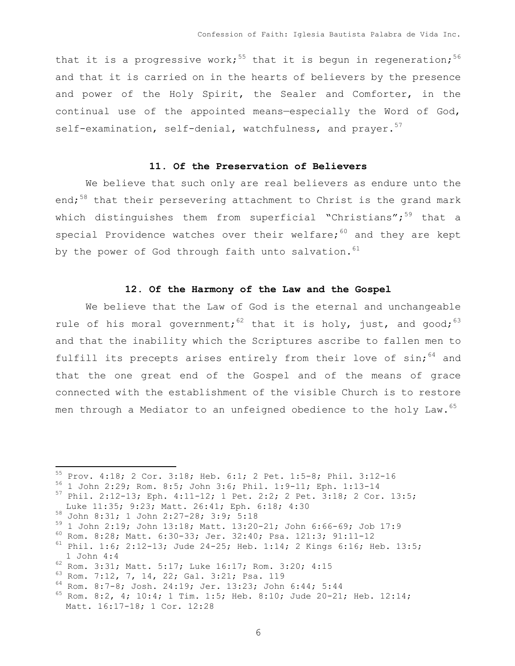that it is a progressive work;<sup>55</sup> that it is begun in regeneration;<sup>56</sup> and that it is carried on in the hearts of believers by the presence and power of the Holy Spirit, the Sealer and Comforter, in the continual use of the appointed means—especially the Word of God, self-examination, self-denial, watchfulness, and prayer.<sup>57</sup>

### **11. Of the Preservation of Believers**

We believe that such only are real believers as endure unto the end; $58$  that their persevering attachment to Christ is the grand mark which distinguishes them from superficial "Christians"; $59$  that a special Providence watches over their welfare; $60$  and they are kept by the power of God through faith unto salvation.  $61$ 

### **12. Of the Harmony of the Law and the Gospel**

We believe that the Law of God is the eternal and unchangeable rule of his moral government;<sup>62</sup> that it is holy, just, and good;<sup>63</sup> and that the inability which the Scriptures ascribe to fallen men to fulfill its precepts arises entirely from their love of  $sin:$ <sup>64</sup> and that the one great end of the Gospel and of the means of grace connected with the establishment of the visible Church is to restore men through a Mediator to an unfeigned obedience to the holy Law.<sup>65</sup>

<sup>&</sup>lt;sup>55</sup> Prov. 4:18; 2 Cor. 3:18; Heb. 6:1; 2 Pet. 1:5-8; Phil. 3:12-16<br><sup>56</sup> 1 John 2:29; Rom. 8:5; John 3:6; Phil. 1:9-11; Eph. 1:13-14<br><sup>57</sup> Phil. 2:12-13; Eph. 4:11-12; 1 Pet. 2:2; 2 Pet. 3:18; 2 Cor. 13:5;

Luke 11:35; 9:23; Matt. 26:41; Eph. 6:18; 4:30<br>
58 John 8:31; 1 John 2:27-28; 3:9; 5:18<br>
59 1 John 2:19; John 13:18; Matt. 13:20-21; John 6:66-69; Job 17:9<br>
60 Rom. 8:28; Matt. 6:30-33; Jer. 32:40; Psa. 121:3; 91:11-12<br>
61

<sup>&</sup>lt;sup>62</sup> Rom. 3:31; Matt. 5:17; Luke 16:17; Rom. 3:20; 4:15<br><sup>63</sup> Rom. 7:12, 7, 14, 22; Gal. 3:21; Psa. 119<br><sup>64</sup> Rom. 8:7-8; Josh. 24:19; Jer. 13:23; John 6:44; 5:44<br><sup>65</sup> Rom. 8:2, 4; 10:4; 1 Tim. 1:5; Heb. 8:10; Jude 20-21; He Matt. 16:17-18; 1 Cor. 12:28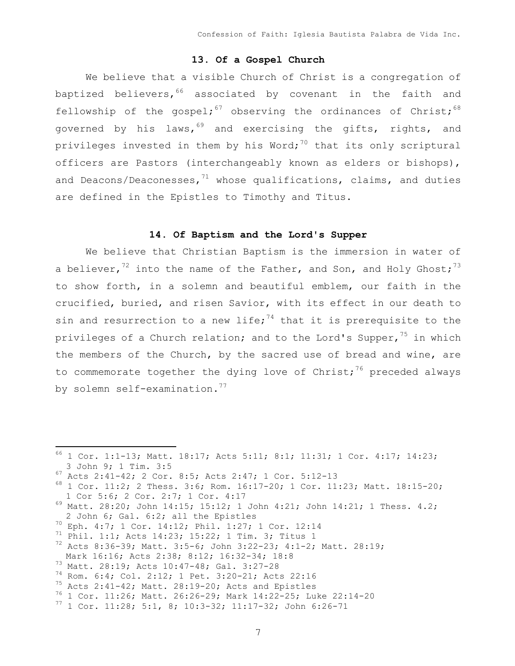### **13. Of a Gospel Church**

We believe that a visible Church of Christ is a congregation of baptized believers,  $66$  associated by covenant in the faith and fellowship of the gospel;<sup>67</sup> observing the ordinances of Christ;<sup>68</sup> governed by his laws,  $69$  and exercising the gifts, rights, and privileges invested in them by his Word; $70$  that its only scriptural officers are Pastors (interchangeably known as elders or bishops), and Deacons/Deaconesses, $71$  whose qualifications, claims, and duties are defined in the Epistles to Timothy and Titus.

### **14. Of Baptism and the Lord's Supper**

We believe that Christian Baptism is the immersion in water of a believer,<sup>72</sup> into the name of the Father, and Son, and Holy Ghost;<sup>73</sup> to show forth, in a solemn and beautiful emblem, our faith in the crucified, buried, and risen Savior, with its effect in our death to sin and resurrection to a new life;<sup>74</sup> that it is prerequisite to the privileges of a Church relation; and to the Lord's Supper,  $75$  in which the members of the Church, by the sacred use of bread and wine, are to commemorate together the dying love of Christ;<sup>76</sup> preceded always by solemn self-examination.<sup>77</sup>

 <sup>66</sup> 1 Cor. 1:1-13; Matt. 18:17; Acts 5:11; 8:1; 11:31; 1 Cor. 4:17; 14:23; 3 John 9; 1 Tim. 3:5<br><sup>67</sup> Acts 2:41-42; 2 Cor. 8:5; Acts 2:47; 1 Cor. 5:12-13<br><sup>68</sup> 1 Cor. 11:2; 2 Thess. 3:6; Rom. 16:17-20; 1 Cor. 11:23; Matt. 18:15-20;

<sup>1</sup> Cor 5:6; 2 Cor. 2:7; 1 Cor. 4:17<br><sup>69</sup> Matt. 28:20; John 14:15; 15:12; 1 John 4:21; John 14:21; 1 Thess. 4.2;

<sup>2</sup> John 6; Gal. 6:2; all the Epistles<br><sup>70</sup> Eph. 4:7; 1 Cor. 14:12; Phil. 1:27; 1 Cor. 12:14<br><sup>71</sup> Phil. 1:1; Acts 14:23; 15:22; 1 Tim. 3; Titus 1<br><sup>72</sup> Acts 8:36-39; Matt. 3:5-6; John 3:22-23; 4:1-2; Matt. 28:19;

Mark 16:16; Acts 2:38; 8:12; 16:32-34; 18:8<br>
<sup>73</sup> Matt. 28:19; Acts 10:47-48; Gal. 3:27-28<br>
<sup>74</sup> Rom. 6:4; Col. 2:12; 1 Pet. 3:20-21; Acts 22:16<br>
<sup>75</sup> Acts 2:41-42; Matt. 28:19-20; Acts and Epistles<br>
<sup>76</sup> 1 Cor. 11:26; Mat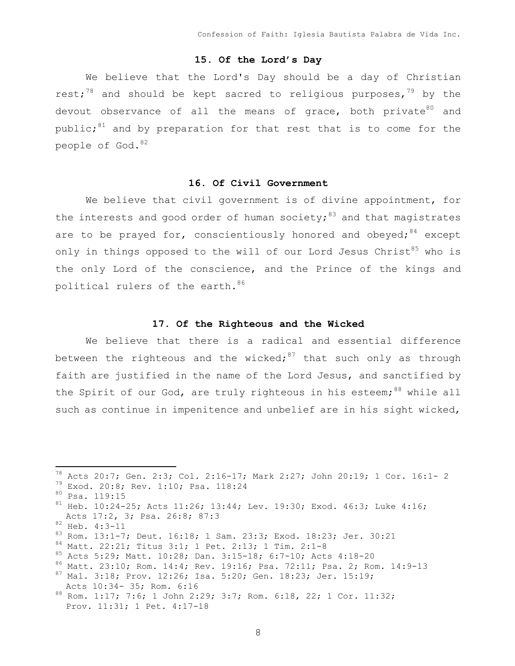# **15. Of the Lord's Day**

We believe that the Lord's Day should be a day of Christian rest;<sup>78</sup> and should be kept sacred to religious purposes,<sup>79</sup> by the devout observance of all the means of grace, both private $80$  and public;<sup>81</sup> and by preparation for that rest that is to come for the people of God. 82

#### **16. Of Civil Government**

We believe that civil government is of divine appointment, for the interests and good order of human society;  $83$  and that magistrates are to be prayed for, conscientiously honored and obeyed;  $84$  except only in things opposed to the will of our Lord Jesus Christ<sup>85</sup> who is the only Lord of the conscience, and the Prince of the kings and political rulers of the earth. 86

# **17. Of the Righteous and the Wicked**

We believe that there is a radical and essential difference between the righteous and the wicked;<sup>87</sup> that such only as through faith are justified in the name of the Lord Jesus, and sanctified by the Spirit of our God, are truly righteous in his esteem;  $88$  while all such as continue in impenitence and unbelief are in his sight wicked,

<sup>&</sup>lt;sup>78</sup> Acts 20:7; Gen. 2:3; Col. 2:16-17; Mark 2:27; John 20:19; 1 Cor. 16:1- 2<br><sup>79</sup> Exod. 20:8; Rev. 1:10; Psa. 118:24<br><sup>80</sup> Psa. 119:15<br><sup>81</sup> Heb. 10:24-25; Acts 11:26; 13:44; Lev. 19:30; Exod. 46:3; Luke 4:16; Acts 17:2, 3; Psa. 26:8; 87:3<br>
<sup>82</sup> Heb. 4:3-11<br>
<sup>83</sup> Rom. 13:1-7; Deut. 16:18; 1 Sam. 23:3; Exod. 18:23; Jer. 30:21<br>
<sup>84</sup> Matt. 22:21; Titus 3:1; 1 Pet. 2:13; 1 Tim. 2:1-8<br>
<sup>85</sup> Acts 5:29; Matt. 10:28; Dan. 3:15-18; 6:7-1 Acts 10:34- 35; Rom. 6:16<br><sup>88</sup> Rom. 1:17; 7:6; 1 John 2:29; 3:7; Rom. 6:18, 22; 1 Cor. 11:32; Prov. 11:31; 1 Pet. 4:17-18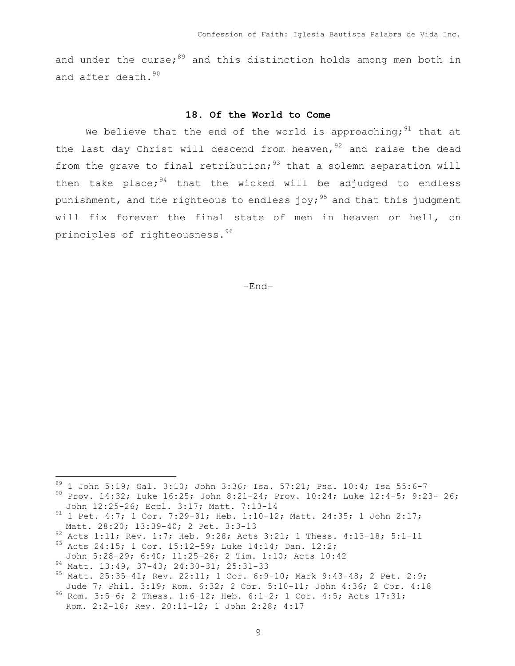and under the curse; $89$  and this distinction holds among men both in and after death.<sup>90</sup>

### **18. Of the World to Come**

We believe that the end of the world is approaching;  $91$  that at the last day Christ will descend from heaven,  $92$  and raise the dead from the grave to final retribution;  $93$  that a solemn separation will then take place;  $94$  that the wicked will be adjudged to endless punishment, and the righteous to endless joy;<sup>95</sup> and that this judgment will fix forever the final state of men in heaven or hell, on principles of righteousness.<sup>96</sup>

–End–

<sup>&</sup>lt;sup>89</sup> 1 John 5:19; Gal. 3:10; John 3:36; Isa. 57:21; Psa. 10:4; Isa 55:6-7<br><sup>90</sup> Prov. 14:32; Luke 16:25; John 8:21-24; Prov. 10:24; Luke 12:4-5; 9:23- 26;

John 12:25-26; Eccl. 3:17; Matt. 7:13-14 <sup>91</sup> 1 Pet. 4:7; 1 Cor. 7:29-31; Heb. 1:10-12; Matt. 24:35; 1 John 2:17;

Matt. 28:20; 13:39-40; 2 Pet. 3:3-13<br><sup>92</sup> Acts 1:11; Rev. 1:7; Heb. 9:28; Acts 3:21; 1 Thess. 4:13-18; 5:1-11<br><sup>93</sup> Acts 24:15; 1 Cor. 15:12-59; Luke 14:14; Dan. 12:2;

John 5:28-29; 6:40; 11:25-26; 2 Tim. 1:10; Acts 10:42<br><sup>94</sup> Matt. 13:49, 37-43; 24:30-31; 25:31-33<br><sup>95</sup> Matt. 25:35-41; Rev. 22:11; 1 Cor. 6:9-10; Mark 9:43-48; 2 Pet. 2:9;

Jude 7; Phil. 3:19; Rom. 6:32; 2 Cor. 5:10-11; John 4:36; 2 Cor. 4:18 <sup>96</sup> Rom. 3:5-6; 2 Thess. 1:6-12; Heb. 6:1-2; 1 Cor. 4:5; Acts 17:31; Rom. 2:2-16; Rev. 20:11-12; 1 John 2:28; 4:17